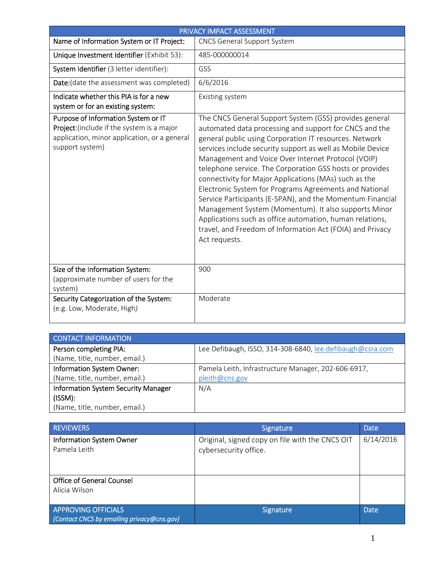| PRIVACY IMPACT ASSESSMENT                                                                                                                            |                                                                                                                                                                                                                                                                                                                                                                                                                                                                                                                                                                                                                                                                                                                                              |
|------------------------------------------------------------------------------------------------------------------------------------------------------|----------------------------------------------------------------------------------------------------------------------------------------------------------------------------------------------------------------------------------------------------------------------------------------------------------------------------------------------------------------------------------------------------------------------------------------------------------------------------------------------------------------------------------------------------------------------------------------------------------------------------------------------------------------------------------------------------------------------------------------------|
| Name of Information System or IT Project:                                                                                                            | <b>CNCS General Support System</b>                                                                                                                                                                                                                                                                                                                                                                                                                                                                                                                                                                                                                                                                                                           |
| Unique Investment Identifier (Exhibit 53):                                                                                                           | 485-000000014                                                                                                                                                                                                                                                                                                                                                                                                                                                                                                                                                                                                                                                                                                                                |
| System Identifier (3 letter identifier):                                                                                                             | GSS                                                                                                                                                                                                                                                                                                                                                                                                                                                                                                                                                                                                                                                                                                                                          |
| Date: (date the assessment was completed)                                                                                                            | 6/6/2016                                                                                                                                                                                                                                                                                                                                                                                                                                                                                                                                                                                                                                                                                                                                     |
| Indicate whether this PIA is for a new<br>system or for an existing system:                                                                          | Existing system                                                                                                                                                                                                                                                                                                                                                                                                                                                                                                                                                                                                                                                                                                                              |
| Purpose of Information System or IT<br>Project: (include if the system is a major<br>application, minor application, or a general<br>support system) | The CNCS General Support System (GSS) provides general<br>automated data processing and support for CNCS and the<br>general public using Corporation IT resources. Network<br>services include security support as well as Mobile Device<br>Management and Voice Over Internet Protocol (VOIP)<br>telephone service. The Corporation GSS hosts or provides<br>connectivity for Major Applications (MAs) such as the<br>Electronic System for Programs Agreements and National<br>Service Participants (E-SPAN), and the Momentum Financial<br>Management System (Momentum). It also supports Minor<br>Applications such as office automation, human relations,<br>travel, and Freedom of Information Act (FOIA) and Privacy<br>Act requests. |
| Size of the Information System:<br>(approximate number of users for the<br>system)                                                                   | 900                                                                                                                                                                                                                                                                                                                                                                                                                                                                                                                                                                                                                                                                                                                                          |
| Security Categorization of the System:<br>(e.g. Low, Moderate, High)                                                                                 | Moderate                                                                                                                                                                                                                                                                                                                                                                                                                                                                                                                                                                                                                                                                                                                                     |

| <b>CONTACT INFORMATION</b>                 |                                                           |
|--------------------------------------------|-----------------------------------------------------------|
| Person completing PIA:                     | Lee Defibaugh, ISSO, 314-308-6840, lee.defibaugh@csra.com |
| (Name, title, number, email.)              |                                                           |
| Information System Owner:                  | Pamela Leith, Infrastructure Manager, 202-606-6917,       |
| (Name, title, number, email.)              | pleith@cns.gov                                            |
| <b>Information System Security Manager</b> | N/A                                                       |
| (ISSM):                                    |                                                           |
| (Name, title, number, email.)              |                                                           |

| <b>REVIEWERS</b>                                                         | <b>Signature</b>                                                         | Date        |
|--------------------------------------------------------------------------|--------------------------------------------------------------------------|-------------|
| <b>Information System Owner</b><br>Pamela Leith                          | Original, signed copy on file with the CNCS OIT<br>cybersecurity office. | 6/14/2016   |
| <b>Office of General Counsel</b><br>Alicia Wilson                        |                                                                          |             |
| <b>APPROVING OFFICIALS</b><br>(Contact CNCS by emailing privacy@cns.gov) | <b>Signature</b>                                                         | <b>Date</b> |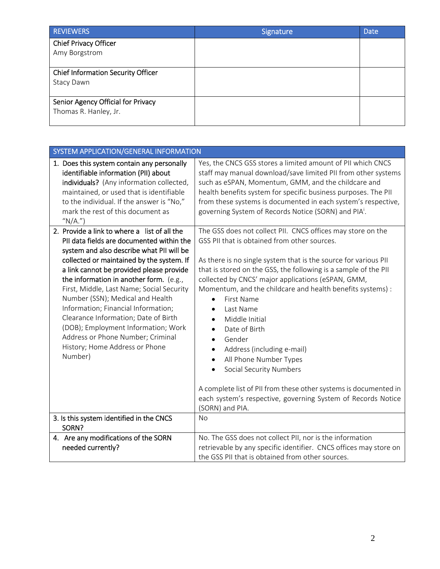| <b>REVIEWERS</b>                                            | Signature | <b>Date</b> |
|-------------------------------------------------------------|-----------|-------------|
| <b>Chief Privacy Officer</b><br>Amy Borgstrom               |           |             |
| <b>Chief Information Security Officer</b><br>Stacy Dawn     |           |             |
| Senior Agency Official for Privacy<br>Thomas R. Hanley, Jr. |           |             |

| SYSTEM APPLICATION/GENERAL INFORMATION                                                                                                                                                                                                                                                                                                                                                                                                                                                                                                                              |                                                                                                                                                                                                                                                                                                                                                                                                                                                                                                                                                                                                                                                                                                                                                    |
|---------------------------------------------------------------------------------------------------------------------------------------------------------------------------------------------------------------------------------------------------------------------------------------------------------------------------------------------------------------------------------------------------------------------------------------------------------------------------------------------------------------------------------------------------------------------|----------------------------------------------------------------------------------------------------------------------------------------------------------------------------------------------------------------------------------------------------------------------------------------------------------------------------------------------------------------------------------------------------------------------------------------------------------------------------------------------------------------------------------------------------------------------------------------------------------------------------------------------------------------------------------------------------------------------------------------------------|
| 1. Does this system contain any personally<br>identifiable information (PII) about<br>individuals? (Any information collected,<br>maintained, or used that is identifiable<br>to the individual. If the answer is "No,"<br>mark the rest of this document as<br>" $N/A."$ )                                                                                                                                                                                                                                                                                         | Yes, the CNCS GSS stores a limited amount of PII which CNCS<br>staff may manual download/save limited PII from other systems<br>such as eSPAN, Momentum, GMM, and the childcare and<br>health benefits system for specific business purposes. The PII<br>from these systems is documented in each system's respective,<br>governing System of Records Notice (SORN) and PIA <sup>1</sup> .                                                                                                                                                                                                                                                                                                                                                         |
| 2. Provide a link to where a list of all the<br>PII data fields are documented within the<br>system and also describe what PII will be<br>collected or maintained by the system. If<br>a link cannot be provided please provide<br>the information in another form. (e.g.,<br>First, Middle, Last Name; Social Security<br>Number (SSN); Medical and Health<br>Information; Financial Information;<br>Clearance Information; Date of Birth<br>(DOB); Employment Information; Work<br>Address or Phone Number; Criminal<br>History; Home Address or Phone<br>Number) | The GSS does not collect PII. CNCS offices may store on the<br>GSS PII that is obtained from other sources.<br>As there is no single system that is the source for various PII<br>that is stored on the GSS, the following is a sample of the PII<br>collected by CNCS' major applications (eSPAN, GMM,<br>Momentum, and the childcare and health benefits systems) :<br>First Name<br>$\bullet$<br>Last Name<br>Middle Initial<br>Date of Birth<br>Gender<br>$\bullet$<br>Address (including e-mail)<br>$\bullet$<br>All Phone Number Types<br>$\bullet$<br><b>Social Security Numbers</b><br>A complete list of PII from these other systems is documented in<br>each system's respective, governing System of Records Notice<br>(SORN) and PIA. |
| 3. Is this system identified in the CNCS<br>SORN?                                                                                                                                                                                                                                                                                                                                                                                                                                                                                                                   | No                                                                                                                                                                                                                                                                                                                                                                                                                                                                                                                                                                                                                                                                                                                                                 |
| 4. Are any modifications of the SORN<br>needed currently?                                                                                                                                                                                                                                                                                                                                                                                                                                                                                                           | No. The GSS does not collect PII, nor is the information<br>retrievable by any specific identifier. CNCS offices may store on<br>the GSS PII that is obtained from other sources.                                                                                                                                                                                                                                                                                                                                                                                                                                                                                                                                                                  |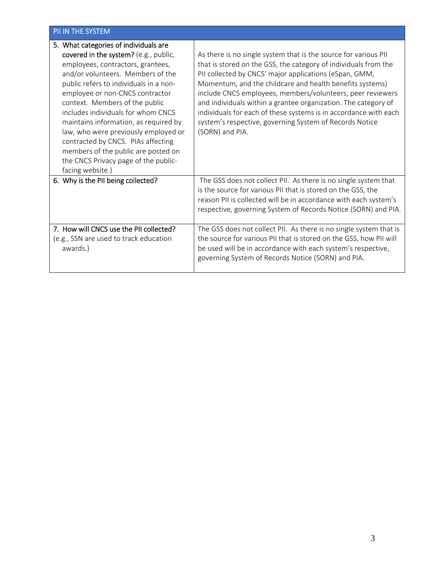## PII IN THE SYSTEM

| 5. What categories of individuals are<br>covered in the system? (e.g., public,<br>employees, contractors, grantees,<br>and/or volunteers. Members of the<br>public refers to individuals in a non-<br>employee or non-CNCS contractor<br>context. Members of the public<br>includes individuals for whom CNCS<br>maintains information, as required by<br>law, who were previously employed or<br>contracted by CNCS. PIAs affecting<br>members of the public are posted on<br>the CNCS Privacy page of the public-<br>facing website.) | As there is no single system that is the source for various PII<br>that is stored on the GSS, the category of individuals from the<br>PII collected by CNCS' major applications (eSpan, GMM,<br>Momentum, and the childcare and health benefits systems)<br>include CNCS employees, members/volunteers, peer reviewers<br>and individuals within a grantee organization. The category of<br>individuals for each of these systems is in accordance with each<br>system's respective, governing System of Records Notice<br>(SORN) and PIA. |
|-----------------------------------------------------------------------------------------------------------------------------------------------------------------------------------------------------------------------------------------------------------------------------------------------------------------------------------------------------------------------------------------------------------------------------------------------------------------------------------------------------------------------------------------|--------------------------------------------------------------------------------------------------------------------------------------------------------------------------------------------------------------------------------------------------------------------------------------------------------------------------------------------------------------------------------------------------------------------------------------------------------------------------------------------------------------------------------------------|
| 6. Why is the PII being collected?                                                                                                                                                                                                                                                                                                                                                                                                                                                                                                      | The GSS does not collect PII. As there is no single system that<br>is the source for various PII that is stored on the GSS, the<br>reason PII is collected will be in accordance with each system's<br>respective, governing System of Records Notice (SORN) and PIA.                                                                                                                                                                                                                                                                      |
| 7. How will CNCS use the PII collected?<br>(e.g., SSN are used to track education<br>awards.)                                                                                                                                                                                                                                                                                                                                                                                                                                           | The GSS does not collect PII. As there is no single system that is<br>the source for various PII that is stored on the GSS, how PII will<br>be used will be in accordance with each system's respective,<br>governing System of Records Notice (SORN) and PIA.                                                                                                                                                                                                                                                                             |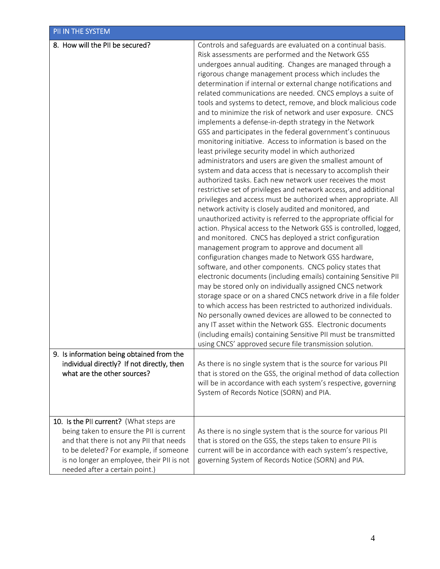| PII IN THE SYSTEM                                                                                                                                                                                                                                         |                                                                                                                                                                                                                                                                                                                                                                                                                                                                                                                                                                                                                                                                                                                                                                                                                                                                                                                                                                                                                                                                                                                                                                                                                                                                                                                                                                                                                                                                                                                                                                                                                                                                                                                                                                                                                                                                                                                                                                                                                                                                                                                                                                                                                                                                                                              |
|-----------------------------------------------------------------------------------------------------------------------------------------------------------------------------------------------------------------------------------------------------------|--------------------------------------------------------------------------------------------------------------------------------------------------------------------------------------------------------------------------------------------------------------------------------------------------------------------------------------------------------------------------------------------------------------------------------------------------------------------------------------------------------------------------------------------------------------------------------------------------------------------------------------------------------------------------------------------------------------------------------------------------------------------------------------------------------------------------------------------------------------------------------------------------------------------------------------------------------------------------------------------------------------------------------------------------------------------------------------------------------------------------------------------------------------------------------------------------------------------------------------------------------------------------------------------------------------------------------------------------------------------------------------------------------------------------------------------------------------------------------------------------------------------------------------------------------------------------------------------------------------------------------------------------------------------------------------------------------------------------------------------------------------------------------------------------------------------------------------------------------------------------------------------------------------------------------------------------------------------------------------------------------------------------------------------------------------------------------------------------------------------------------------------------------------------------------------------------------------------------------------------------------------------------------------------------------------|
| 8. How will the PII be secured?<br>9. Is information being obtained from the<br>individual directly? If not directly, then<br>what are the other sources?                                                                                                 | Controls and safeguards are evaluated on a continual basis.<br>Risk assessments are performed and the Network GSS<br>undergoes annual auditing. Changes are managed through a<br>rigorous change management process which includes the<br>determination if internal or external change notifications and<br>related communications are needed. CNCS employs a suite of<br>tools and systems to detect, remove, and block malicious code<br>and to minimize the risk of network and user exposure. CNCS<br>implements a defense-in-depth strategy in the Network<br>GSS and participates in the federal government's continuous<br>monitoring initiative. Access to information is based on the<br>least privilege security model in which authorized<br>administrators and users are given the smallest amount of<br>system and data access that is necessary to accomplish their<br>authorized tasks. Each new network user receives the most<br>restrictive set of privileges and network access, and additional<br>privileges and access must be authorized when appropriate. All<br>network activity is closely audited and monitored, and<br>unauthorized activity is referred to the appropriate official for<br>action. Physical access to the Network GSS is controlled, logged,<br>and monitored. CNCS has deployed a strict configuration<br>management program to approve and document all<br>configuration changes made to Network GSS hardware,<br>software, and other components. CNCS policy states that<br>electronic documents (including emails) containing Sensitive PII<br>may be stored only on individually assigned CNCS network<br>storage space or on a shared CNCS network drive in a file folder<br>to which access has been restricted to authorized individuals.<br>No personally owned devices are allowed to be connected to<br>any IT asset within the Network GSS. Electronic documents<br>(including emails) containing Sensitive PII must be transmitted<br>using CNCS' approved secure file transmission solution.<br>As there is no single system that is the source for various PII<br>that is stored on the GSS, the original method of data collection<br>will be in accordance with each system's respective, governing<br>System of Records Notice (SORN) and PIA. |
| 10. Is the PII current? (What steps are<br>being taken to ensure the PII is current<br>and that there is not any PII that needs<br>to be deleted? For example, if someone<br>is no longer an employee, their PII is not<br>needed after a certain point.) | As there is no single system that is the source for various PII<br>that is stored on the GSS, the steps taken to ensure PII is<br>current will be in accordance with each system's respective,<br>governing System of Records Notice (SORN) and PIA.                                                                                                                                                                                                                                                                                                                                                                                                                                                                                                                                                                                                                                                                                                                                                                                                                                                                                                                                                                                                                                                                                                                                                                                                                                                                                                                                                                                                                                                                                                                                                                                                                                                                                                                                                                                                                                                                                                                                                                                                                                                         |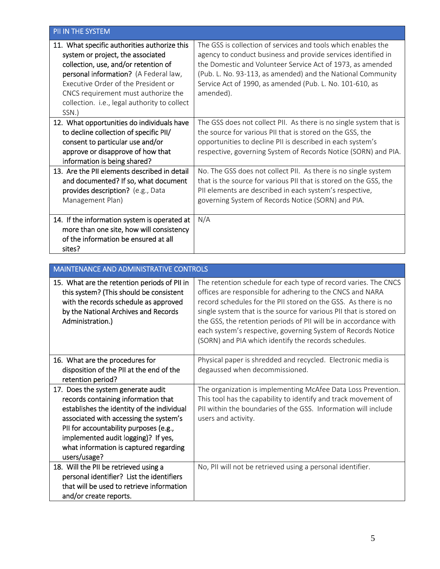| PII IN THE SYSTEM                                                                                                                                                                                                                                                                                         |                                                                                                                                                                                                                                                                                                                                      |
|-----------------------------------------------------------------------------------------------------------------------------------------------------------------------------------------------------------------------------------------------------------------------------------------------------------|--------------------------------------------------------------------------------------------------------------------------------------------------------------------------------------------------------------------------------------------------------------------------------------------------------------------------------------|
| 11. What specific authorities authorize this<br>system or project, the associated<br>collection, use, and/or retention of<br>personal information? (A Federal law,<br>Executive Order of the President or<br>CNCS requirement must authorize the<br>collection. i.e., legal authority to collect<br>SSN.) | The GSS is collection of services and tools which enables the<br>agency to conduct business and provide services identified in<br>the Domestic and Volunteer Service Act of 1973, as amended<br>(Pub. L. No. 93-113, as amended) and the National Community<br>Service Act of 1990, as amended (Pub. L. No. 101-610, as<br>amended). |
| 12. What opportunities do individuals have<br>to decline collection of specific PII/<br>consent to particular use and/or<br>approve or disapprove of how that<br>information is being shared?                                                                                                             | The GSS does not collect PII. As there is no single system that is<br>the source for various PII that is stored on the GSS, the<br>opportunities to decline PII is described in each system's<br>respective, governing System of Records Notice (SORN) and PIA.                                                                      |
| 13. Are the PII elements described in detail<br>and documented? If so, what document<br>provides description? (e.g., Data<br>Management Plan)                                                                                                                                                             | No. The GSS does not collect PII. As there is no single system<br>that is the source for various PII that is stored on the GSS, the<br>PII elements are described in each system's respective,<br>governing System of Records Notice (SORN) and PIA.                                                                                 |
| 14. If the information system is operated at<br>more than one site, how will consistency<br>of the information be ensured at all<br>sites?                                                                                                                                                                | N/A                                                                                                                                                                                                                                                                                                                                  |

| MAINTENANCE AND ADMINISTRATIVE CONTROLS                                                                                                                                                                                                                                                                      |                                                                                                                                                                                                                                                                                                                                                                                                                                                                  |
|--------------------------------------------------------------------------------------------------------------------------------------------------------------------------------------------------------------------------------------------------------------------------------------------------------------|------------------------------------------------------------------------------------------------------------------------------------------------------------------------------------------------------------------------------------------------------------------------------------------------------------------------------------------------------------------------------------------------------------------------------------------------------------------|
| 15. What are the retention periods of PII in<br>this system? (This should be consistent<br>with the records schedule as approved<br>by the National Archives and Records<br>Administration.)                                                                                                                 | The retention schedule for each type of record varies. The CNCS<br>offices are responsible for adhering to the CNCS and NARA<br>record schedules for the PII stored on the GSS. As there is no<br>single system that is the source for various PII that is stored on<br>the GSS, the retention periods of PII will be in accordance with<br>each system's respective, governing System of Records Notice<br>(SORN) and PIA which identify the records schedules. |
| 16. What are the procedures for<br>disposition of the PII at the end of the<br>retention period?                                                                                                                                                                                                             | Physical paper is shredded and recycled. Electronic media is<br>degaussed when decommissioned.                                                                                                                                                                                                                                                                                                                                                                   |
| 17. Does the system generate audit<br>records containing information that<br>establishes the identity of the individual<br>associated with accessing the system's<br>PII for accountability purposes (e.g.,<br>implemented audit logging)? If yes,<br>what information is captured regarding<br>users/usage? | The organization is implementing McAfee Data Loss Prevention.<br>This tool has the capability to identify and track movement of<br>PII within the boundaries of the GSS. Information will include<br>users and activity.                                                                                                                                                                                                                                         |
| 18. Will the PII be retrieved using a<br>personal identifier? List the identifiers<br>that will be used to retrieve information<br>and/or create reports.                                                                                                                                                    | No, PII will not be retrieved using a personal identifier.                                                                                                                                                                                                                                                                                                                                                                                                       |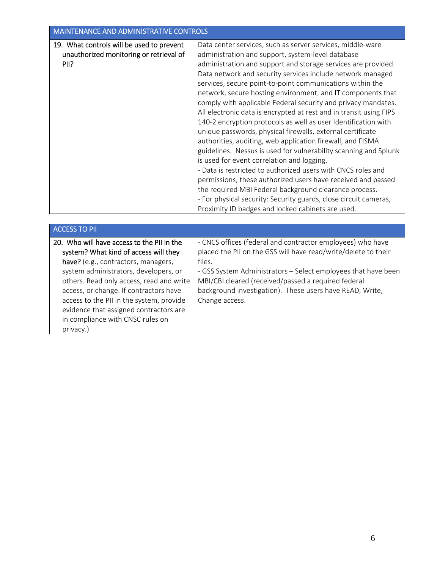## MAINTENANCE AND ADMINISTRATIVE CONTROLS 19. What controls will be used to prevent unauthorized monitoring or retrieval of Data center services, such as server services, middle‐ware administration and support, system‐level database administration and support and storage services are provided. Data network and security services include network managed services, secure point‐to‐point communications within the network, secure hosting environment, and IT components that comply with applicable Federal security and privacy mandates. All electronic data is encrypted at rest and in transit using FIPS 140‐2 encryption protocols as well as user Identification with unique passwords, physical firewalls, external certificate authorities, auditing, web application firewall, and FISMA guidelines. Nessus is used for vulnerability scanning and Splunk is used for event correlation and logging. ‐ Data is restricted to authorized users with CNCS roles and permissions; these authorized users have received and passed the required MBI Federal background clearance process. ‐ For physical security: Security guards, close circuit cameras, Proximity ID badges and locked cabinets are used. PII?

| <b>ACCESS TO PII</b>                       |                                                                |
|--------------------------------------------|----------------------------------------------------------------|
| 20. Who will have access to the PII in the | - CNCS offices (federal and contractor employees) who have     |
| system? What kind of access will they      | placed the PII on the GSS will have read/write/delete to their |
| have? (e.g., contractors, managers,        | files.                                                         |
| system administrators, developers, or      | - GSS System Administrators - Select employees that have been  |
| others. Read only access, read and write   | MBI/CBI cleared (received/passed a required federal            |
| access, or change. If contractors have     | background investigation). These users have READ, Write,       |
| access to the PII in the system, provide   | Change access.                                                 |
| evidence that assigned contractors are     |                                                                |
| in compliance with CNSC rules on           |                                                                |
| privacy.)                                  |                                                                |